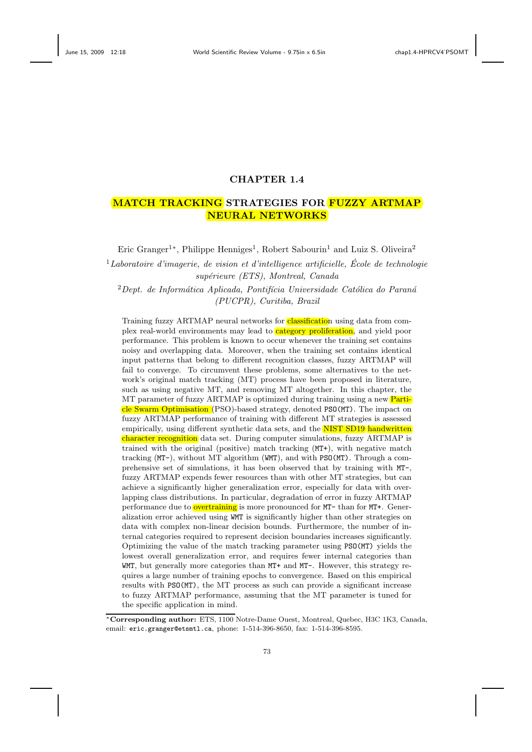# **CHAPTER 1.4**

# **MATCH TRACKING STRATEGIES FOR FUZZY ARTMAP NEURAL NETWORKS**

Eric Granger<sup>1</sup><sup>\*</sup>, Philippe Henniges<sup>1</sup>, Robert Sabourin<sup>1</sup> and Luiz S. Oliveira<sup>2</sup>

<sup>1</sup>*Laboratoire d'imagerie, de vision et d'intelligence artificielle, Ecole de technologie ´ sup´erieure (ETS), Montreal, Canada*

<sup>2</sup> Dept. de Informática Aplicada, Pontifícia Universidade Católica do Paraná *(PUCPR), Curitiba, Brazil*

Training fuzzy ARTMAP neural networks for **classification** using data from complex real-world environments may lead to **category proliferation**, and yield poor performance. This problem is known to occur whenever the training set contains noisy and overlapping data. Moreover, when the training set contains identical input patterns that belong to different recognition classes, fuzzy ARTMAP will fail to converge. To circumvent these problems, some alternatives to the network's original match tracking (MT) process have been proposed in literature, such as using negative MT, and removing MT altogether. In this chapter, the MT parameter of fuzzy ARTMAP is optimized during training using a new **Parti**cle Swarm Optimisation (PSO)-based strategy, denoted PSO(MT). The impact on fuzzy ARTMAP performance of training with different MT strategies is assessed empirically, using different synthetic data sets, and the NIST SD19 handwritten character recognition data set. During computer simulations, fuzzy ARTMAP is trained with the original (positive) match tracking (MT+), with negative match tracking (MT-), without MT algorithm (WMT), and with PSO(MT). Through a comprehensive set of simulations, it has been observed that by training with MT-, fuzzy ARTMAP expends fewer resources than with other MT strategies, but can achieve a significantly higher generalization error, especially for data with overlapping class distributions. In particular, degradation of error in fuzzy ARTMAP performance due to **overtraining** is more pronounced for MT- than for MT+. Generalization error achieved using WMT is significantly higher than other strategies on data with complex non-linear decision bounds. Furthermore, the number of internal categories required to represent decision boundaries increases significantly. Optimizing the value of the match tracking parameter using PSO(MT) yields the lowest overall generalization error, and requires fewer internal categories than WMT, but generally more categories than MT+ and MT-. However, this strategy requires a large number of training epochs to convergence. Based on this empirical results with PSO(MT), the MT process as such can provide a significant increase to fuzzy ARTMAP performance, assuming that the MT parameter is tuned for the specific application in mind.

<sup>∗</sup>**Corresponding author:** ETS, 1100 Notre-Dame Ouest, Montreal, Quebec, H3C 1K3, Canada, email: eric.granger@etsmtl.ca, phone: 1-514-396-8650, fax: 1-514-396-8595.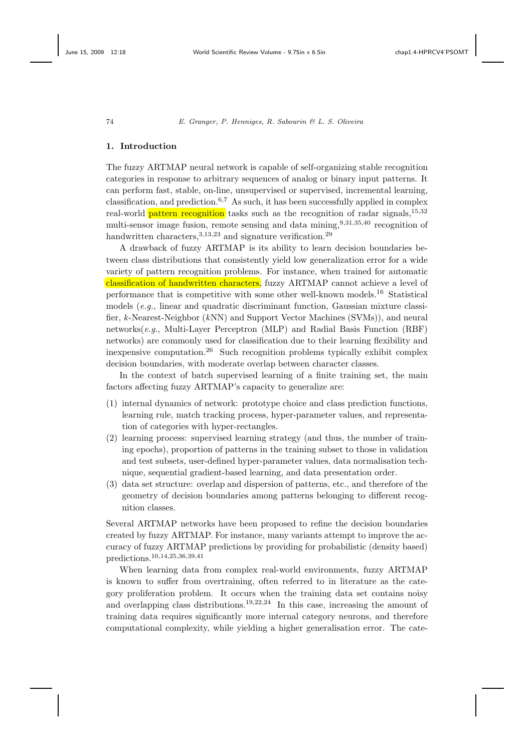### **1. Introduction**

The fuzzy ARTMAP neural network is capable of self-organizing stable recognition categories in response to arbitrary sequences of analog or binary input patterns. It can perform fast, stable, on-line, unsupervised or supervised, incremental learning, classification, and prediction.<sup>6,7</sup> As such, it has been successfully applied in complex real-world **pattern recognition** tasks such as the recognition of radar signals,<sup>15,32</sup> multi-sensor image fusion, remote sensing and data mining,<sup>9,31,35,40</sup> recognition of handwritten characters,  $3,13,23$  and signature verification.<sup>29</sup>

A drawback of fuzzy ARTMAP is its ability to learn decision boundaries between class distributions that consistently yield low generalization error for a wide variety of pattern recognition problems. For instance, when trained for automatic classification of handwritten characters, fuzzy ARTMAP cannot achieve a level of performance that is competitive with some other well-known models.<sup>16</sup> Statistical models (*e.g.*, linear and quadratic discriminant function, Gaussian mixture classifier, *k*-Nearest-Neighbor (*k*NN) and Support Vector Machines (SVMs)), and neural networks(*e.g.*, Multi-Layer Perceptron (MLP) and Radial Basis Function (RBF) networks) are commonly used for classification due to their learning flexibility and inexpensive computation.<sup>26</sup> Such recognition problems typically exhibit complex decision boundaries, with moderate overlap between character classes.

In the context of batch supervised learning of a finite training set, the main factors affecting fuzzy ARTMAP's capacity to generalize are:

- (1) internal dynamics of network: prototype choice and class prediction functions, learning rule, match tracking process, hyper-parameter values, and representation of categories with hyper-rectangles.
- (2) learning process: supervised learning strategy (and thus, the number of training epochs), proportion of patterns in the training subset to those in validation and test subsets, user-defined hyper-parameter values, data normalisation technique, sequential gradient-based learning, and data presentation order.
- (3) data set structure: overlap and dispersion of patterns, etc., and therefore of the geometry of decision boundaries among patterns belonging to different recognition classes.

Several ARTMAP networks have been proposed to refine the decision boundaries created by fuzzy ARTMAP. For instance, many variants attempt to improve the accuracy of fuzzy ARTMAP predictions by providing for probabilistic (density based) predictions.10,14,25,36,39,41

When learning data from complex real-world environments, fuzzy ARTMAP is known to suffer from overtraining, often referred to in literature as the category proliferation problem. It occurs when the training data set contains noisy and overlapping class distributions.<sup>19,22,24</sup> In this case, increasing the amount of training data requires significantly more internal category neurons, and therefore computational complexity, while yielding a higher generalisation error. The cate-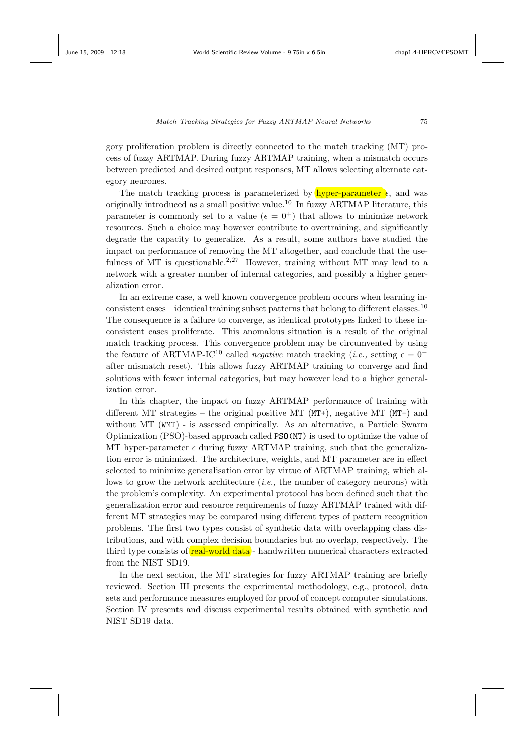gory proliferation problem is directly connected to the match tracking (MT) process of fuzzy ARTMAP. During fuzzy ARTMAP training, when a mismatch occurs between predicted and desired output responses, MT allows selecting alternate category neurones.

The match tracking process is parameterized by  $\frac{h}{h}$  hyper-parameter  $\epsilon$ , and was originally introduced as a small positive value.<sup>10</sup> In fuzzy ARTMAP literature, this parameter is commonly set to a value  $({\epsilon} = 0^+)$  that allows to minimize network resources. Such a choice may however contribute to overtraining, and significantly degrade the capacity to generalize. As a result, some authors have studied the impact on performance of removing the MT altogether, and conclude that the usefulness of MT is questionable.<sup>2,27</sup> However, training without MT may lead to a network with a greater number of internal categories, and possibly a higher generalization error.

In an extreme case, a well known convergence problem occurs when learning inconsistent cases – identical training subset patterns that belong to different classes.<sup>10</sup> The consequence is a failure to converge, as identical prototypes linked to these inconsistent cases proliferate. This anomalous situation is a result of the original match tracking process. This convergence problem may be circumvented by using the feature of ARTMAP-IC<sup>10</sup> called *negative* match tracking (*i.e.*, setting  $\epsilon = 0^$ after mismatch reset). This allows fuzzy ARTMAP training to converge and find solutions with fewer internal categories, but may however lead to a higher generalization error.

In this chapter, the impact on fuzzy ARTMAP performance of training with different MT strategies – the original positive MT ( $MT+$ ), negative MT ( $MT-$ ) and without MT (WMT) - is assessed empirically. As an alternative, a Particle Swarm Optimization (PSO)-based approach called PSO(MT) is used to optimize the value of MT hyper-parameter  $\epsilon$  during fuzzy ARTMAP training, such that the generalization error is minimized. The architecture, weights, and MT parameter are in effect selected to minimize generalisation error by virtue of ARTMAP training, which allows to grow the network architecture (*i.e.,* the number of category neurons) with the problem's complexity. An experimental protocol has been defined such that the generalization error and resource requirements of fuzzy ARTMAP trained with different MT strategies may be compared using different types of pattern recognition problems. The first two types consist of synthetic data with overlapping class distributions, and with complex decision boundaries but no overlap, respectively. The third type consists of real-world data - handwritten numerical characters extracted from the NIST SD19.

In the next section, the MT strategies for fuzzy ARTMAP training are briefly reviewed. Section III presents the experimental methodology, e.g., protocol, data sets and performance measures employed for proof of concept computer simulations. Section IV presents and discuss experimental results obtained with synthetic and NIST SD19 data.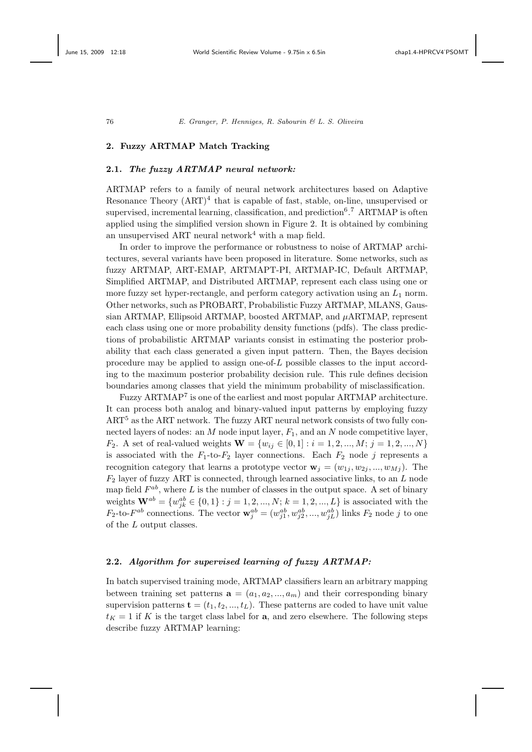# **2. Fuzzy ARTMAP Match Tracking**

## **2.1.** *The fuzzy ARTMAP neural network:*

ARTMAP refers to a family of neural network architectures based on Adaptive Resonance Theory  $(ART)^4$  that is capable of fast, stable, on-line, unsupervised or supervised, incremental learning, classification, and prediction<sup>6</sup>.<sup>7</sup> ARTMAP is often applied using the simplified version shown in Figure 2. It is obtained by combining an unsupervised ART neural network<sup>4</sup> with a map field.

In order to improve the performance or robustness to noise of ARTMAP architectures, several variants have been proposed in literature. Some networks, such as fuzzy ARTMAP, ART-EMAP, ARTMAPT-PI, ARTMAP-IC, Default ARTMAP, Simplified ARTMAP, and Distributed ARTMAP, represent each class using one or more fuzzy set hyper-rectangle, and perform category activation using an  $L_1$  norm. Other networks, such as PROBART, Probabilistic Fuzzy ARTMAP, MLANS, Gaussian ARTMAP, Ellipsoid ARTMAP, boosted ARTMAP, and  $\mu$ ARTMAP, represent each class using one or more probability density functions (pdfs). The class predictions of probabilistic ARTMAP variants consist in estimating the posterior probability that each class generated a given input pattern. Then, the Bayes decision procedure may be applied to assign one-of- $L$  possible classes to the input according to the maximum posterior probability decision rule. This rule defines decision boundaries among classes that yield the minimum probability of misclassification.

Fuzzy ARTMAP<sup>7</sup> is one of the earliest and most popular ARTMAP architecture. It can process both analog and binary-valued input patterns by employing fuzzy  $ART<sup>5</sup>$  as the ART network. The fuzzy ART neural network consists of two fully connected layers of nodes: an  $M$  node input layer,  $F_1$ , and an  $N$  node competitive layer, *F*<sub>2</sub>. A set of real-valued weights  $\mathbf{W} = \{w_{ij} \in [0, 1] : i = 1, 2, ..., M; j = 1, 2, ..., N\}$ is associated with the  $F_1$ -to- $F_2$  layer connections. Each  $F_2$  node j represents a recognition category that learns a prototype vector  $\mathbf{w}_j = (w_{1j}, w_{2j}, ..., w_{Mi})$ . The  $F_2$  layer of fuzzy ART is connected, through learned associative links, to an L node map field  $F^{ab}$ , where L is the number of classes in the output space. A set of binary weights  $\mathbf{W}^{ab} = \{w_{jk}^{ab} \in \{0, 1\} : j = 1, 2, ..., N; k = 1, 2, ..., L\}$  is associated with the  $F_2$ -to- $F^{ab}$  connections. The vector  $\mathbf{w}_j^{ab} = (w_{j1}^{ab}, w_{j2}^{ab}, ..., w_{jL}^{ab})$  links  $F_2$  node j to one of the  $L$  output classes.

# **2.2.** *Algorithm for supervised learning of fuzzy ARTMAP:*

In batch supervised training mode, ARTMAP classifiers learn an arbitrary mapping between training set patterns  $\mathbf{a} = (a_1, a_2, ..., a_m)$  and their corresponding binary supervision patterns  $\mathbf{t} = (t_1, t_2, ..., t_L)$ . These patterns are coded to have unit value  $t_K = 1$  if K is the target class label for **a**, and zero elsewhere. The following steps describe fuzzy ARTMAP learning: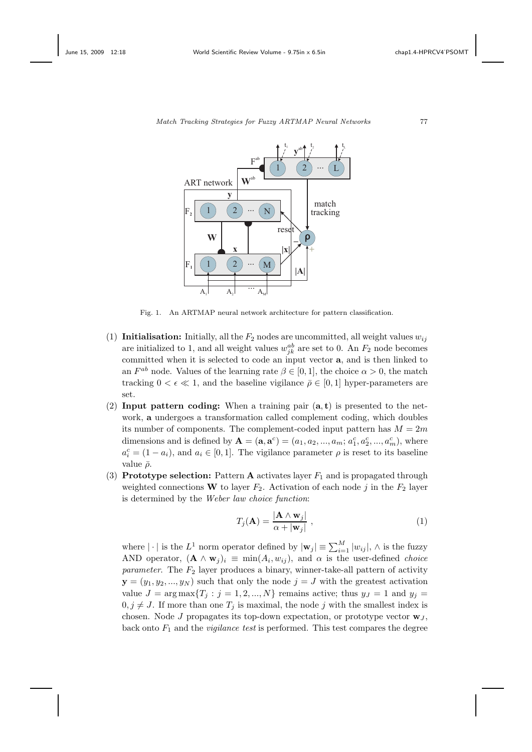

*Match Tracking Strategies for Fuzzy ARTMAP Neural Networks* <sup>77</sup>

Fig. 1. An ARTMAP neural network architecture for pattern classification.

- (1) **Initialisation:** Initially, all the  $F_2$  nodes are uncommitted, all weight values  $w_{ij}$ are initialized to 1, and all weight values  $w_{jk}^{ab}$  are set to 0. An  $F_2$  node becomes committed when it is selected to code an input vector **a**, and is then linked to an  $F^{ab}$  node. Values of the learning rate  $\beta \in [0,1]$ , the choice  $\alpha > 0$ , the match tracking  $0 < \epsilon \ll 1$ , and the baseline vigilance  $\bar{\rho} \in [0, 1]$  hyper-parameters are set.
- (2) **Input pattern coding:** When a training pair (**a**, **t**) is presented to the network, **a** undergoes a transformation called complement coding, which doubles its number of components. The complement-coded input pattern has  $M = 2m$ dimensions and is defined by  $A = (a, a^c) = (a_1, a_2, ..., a_m; a_1^c, a_2^c, ..., a_m^c)$ , where  $a_i^c = (1 - a_i)$ , and  $a_i \in [0, 1]$ . The vigilance parameter  $\rho$  is reset to its baseline value  $\bar{\rho}$ .
- (3) **Prototype selection:** Pattern **A** activates layer  $F_1$  and is propagated through weighted connections **W** to layer  $F_2$ . Activation of each node j in the  $F_2$  layer is determined by the *Weber law choice function*:

$$
T_j(\mathbf{A}) = \frac{|\mathbf{A} \wedge \mathbf{w}_j|}{\alpha + |\mathbf{w}_j|},
$$
\n(1)

where  $|\cdot|$  is the  $L^1$  norm operator defined by  $|\mathbf{w}_j| \equiv \sum_{i=1}^M |w_{ij}|$ ,  $\wedge$  is the fuzzy AND operator,  $({\bf A} \wedge {\bf w}_i)_i \equiv \min(A_i, w_{ij})$ , and  $\alpha$  is the user-defined *choice parameter*. The  $F_2$  layer produces a binary, winner-take-all pattern of activity  $\mathbf{y} = (y_1, y_2, ..., y_N)$  such that only the node  $j = J$  with the greatest activation value  $J = \arg \max \{T_j : j = 1, 2, ..., N\}$  remains active; thus  $y_j = 1$  and  $y_j =$  $0, j \neq J$ . If more than one  $T_j$  is maximal, the node j with the smallest index is chosen. Node J propagates its top-down expectation, or prototype vector  $\mathbf{w}_J$ , back onto F<sup>1</sup> and the *vigilance test* is performed. This test compares the degree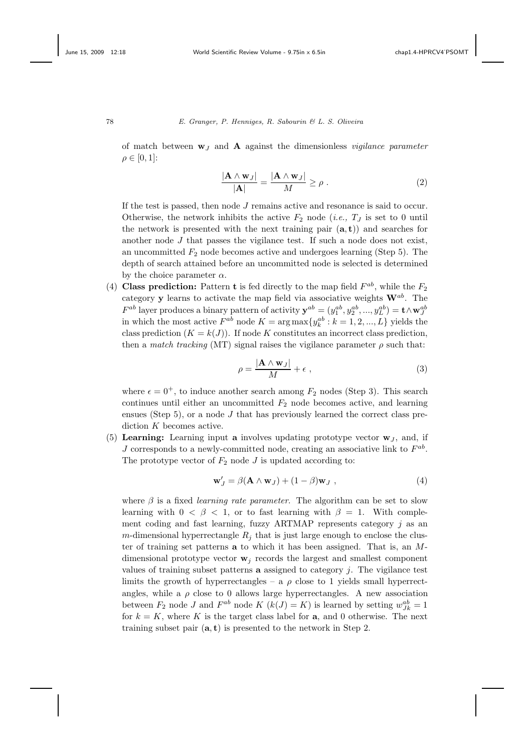of match between **w**<sup>J</sup> and **A** against the dimensionless *vigilance parameter*  $\rho \in [0,1]$ :

$$
\frac{|\mathbf{A} \wedge \mathbf{w}_J|}{|\mathbf{A}|} = \frac{|\mathbf{A} \wedge \mathbf{w}_J|}{M} \ge \rho.
$$
 (2)

If the test is passed, then node J remains active and resonance is said to occur. Otherwise, the network inhibits the active  $F_2$  node (*i.e.*,  $T_J$  is set to 0 until the network is presented with the next training pair  $(a, t)$  and searches for another node  $J$  that passes the vigilance test. If such a node does not exist, an uncommitted  $F_2$  node becomes active and undergoes learning (Step 5). The depth of search attained before an uncommitted node is selected is determined by the choice parameter  $\alpha$ .

(4) **Class prediction:** Pattern **t** is fed directly to the map field  $F^{ab}$ , while the  $F_2$ category **y** learns to activate the map field via associative weights  $\mathbf{W}^{ab}$ . The  $F^{ab}$  layer produces a binary pattern of activity  $\mathbf{y}^{ab} = (y_1^{ab}, y_2^{ab}, ..., y_L^{ab}) = \mathbf{t} \wedge \mathbf{w}_J^{ab}$ in which the most active  $F^{ab}$  node  $K = \arg \max \{y_k^{ab} : k = 1, 2, ..., L\}$  yields the class prediction  $(K = k(J))$ . If node K constitutes an incorrect class prediction, then a *match tracking* (MT) signal raises the vigilance parameter  $\rho$  such that:

$$
\rho = \frac{|\mathbf{A} \wedge \mathbf{w}_J|}{M} + \epsilon \tag{3}
$$

where  $\epsilon = 0^+$ , to induce another search among  $F_2$  nodes (Step 3). This search continues until either an uncommitted  $F_2$  node becomes active, and learning ensues (Step 5), or a node  $J$  that has previously learned the correct class prediction K becomes active.

(5) **Learning:** Learning input **a** involves updating prototype vector  $w_J$ , and, if  $J$  corresponds to a newly-committed node, creating an associative link to  $F^{ab}$ . The prototype vector of  $F_2$  node J is updated according to:

$$
\mathbf{w}'_J = \beta(\mathbf{A} \wedge \mathbf{w}_J) + (1 - \beta)\mathbf{w}_J , \qquad (4)
$$

where  $\beta$  is a fixed *learning rate parameter*. The algorithm can be set to slow learning with  $0 < \beta < 1$ , or to fast learning with  $\beta = 1$ . With complement coding and fast learning, fuzzy ARTMAP represents category  $j$  as an m-dimensional hyperrectangle  $R_i$  that is just large enough to enclose the cluster of training set patterns **a** to which it has been assigned. That is, an Mdimensional prototype vector  $w_i$  records the largest and smallest component values of training subset patterns **a** assigned to category j. The vigilance test limits the growth of hyperrectangles – a  $\rho$  close to 1 yields small hyperrectangles, while a  $\rho$  close to 0 allows large hyperrectangles. A new association between  $F_2$  node J and  $F^{ab}$  node  $K(k(J) = K)$  is learned by setting  $w_{Jk}^{ab} = 1$ for  $k = K$ , where K is the target class label for **a**, and 0 otherwise. The next training subset pair (**a**, **t**) is presented to the network in Step 2.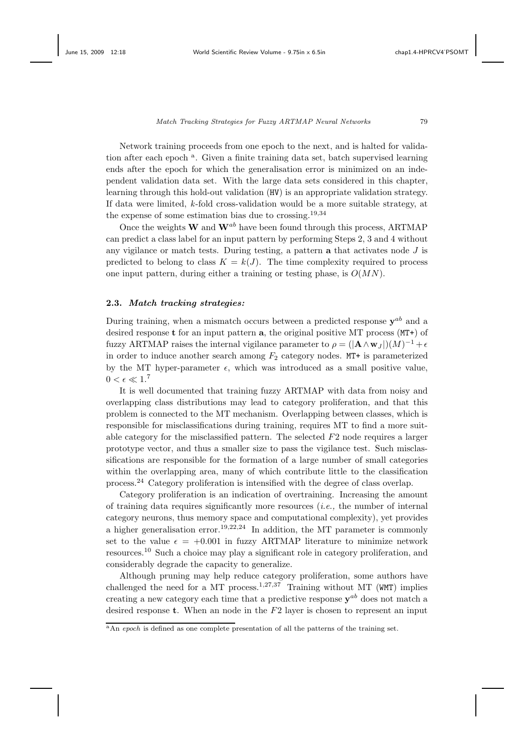Network training proceeds from one epoch to the next, and is halted for validation after each epoch <sup>a</sup>. Given a finite training data set, batch supervised learning ends after the epoch for which the generalisation error is minimized on an independent validation data set. With the large data sets considered in this chapter, learning through this hold-out validation (HV) is an appropriate validation strategy. If data were limited, *k*-fold cross-validation would be a more suitable strategy, at the expense of some estimation bias due to crossing.<sup>19,34</sup>

Once the weights  $W$  and  $W^{ab}$  have been found through this process, ARTMAP can predict a class label for an input pattern by performing Steps 2, 3 and 4 without any vigilance or match tests. During testing, a pattern **a** that activates node J is predicted to belong to class  $K = k(J)$ . The time complexity required to process one input pattern, during either a training or testing phase, is  $O(MN)$ .

### **2.3.** *Match tracking strategies:*

During training, when a mismatch occurs between a predicted response  $\mathbf{v}^{ab}$  and a desired response **t** for an input pattern **a**, the original positive MT process (MT+) of fuzzy ARTMAP raises the internal vigilance parameter to  $\rho = (|\mathbf{A} \wedge \mathbf{w}_J|)(M)^{-1} + \epsilon$ in order to induce another search among  $F_2$  category nodes. MT+ is parameterized by the MT hyper-parameter  $\epsilon$ , which was introduced as a small positive value,  $0 < \epsilon \ll 1$ .<sup>7</sup>

It is well documented that training fuzzy ARTMAP with data from noisy and overlapping class distributions may lead to category proliferation, and that this problem is connected to the MT mechanism. Overlapping between classes, which is responsible for misclassifications during training, requires MT to find a more suitable category for the misclassified pattern. The selected F2 node requires a larger prototype vector, and thus a smaller size to pass the vigilance test. Such misclassifications are responsible for the formation of a large number of small categories within the overlapping area, many of which contribute little to the classification process.<sup>24</sup> Category proliferation is intensified with the degree of class overlap.

Category proliferation is an indication of overtraining. Increasing the amount of training data requires significantly more resources (*i.e.,* the number of internal category neurons, thus memory space and computational complexity), yet provides a higher generalisation error.<sup>19,22,24</sup> In addition, the MT parameter is commonly set to the value  $\epsilon = +0.001$  in fuzzy ARTMAP literature to minimize network resources.<sup>10</sup> Such a choice may play a significant role in category proliferation, and considerably degrade the capacity to generalize.

Although pruning may help reduce category proliferation, some authors have challenged the need for a MT process.<sup>1,27,37</sup> Training without MT (WMT) implies creating a new category each time that a predictive response **y**ab does not match a desired response **t**. When an node in the F2 layer is chosen to represent an input

<sup>&</sup>lt;sup>a</sup>An *epoch* is defined as one complete presentation of all the patterns of the training set.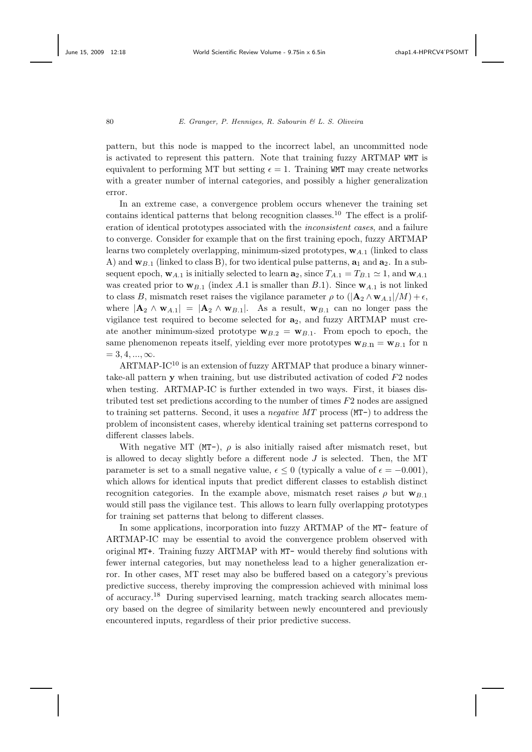pattern, but this node is mapped to the incorrect label, an uncommitted node is activated to represent this pattern. Note that training fuzzy ARTMAP WMT is equivalent to performing MT but setting  $\epsilon = 1$ . Training WMT may create networks with a greater number of internal categories, and possibly a higher generalization error.

In an extreme case, a convergence problem occurs whenever the training set contains identical patterns that belong recognition classes.<sup>10</sup> The effect is a proliferation of identical prototypes associated with the *inconsistent cases*, and a failure to converge. Consider for example that on the first training epoch, fuzzy ARTMAP learns two completely overlapping, minimum-sized prototypes,  $\mathbf{w}_{A,1}$  (linked to class A) and  $\mathbf{w}_{B,1}$  (linked to class B), for two identical pulse patterns,  $\mathbf{a}_1$  and  $\mathbf{a}_2$ . In a subsequent epoch,  $w_{A,1}$  is initially selected to learn  $a_2$ , since  $T_{A,1} = T_{B,1} \simeq 1$ , and  $w_{A,1}$ was created prior to  $\mathbf{w}_{B,1}$  (index A.1 is smaller than B.1). Since  $\mathbf{w}_{A,1}$  is not linked to class B, mismatch reset raises the vigilance parameter  $\rho$  to  $(|{\bf A}_2 \wedge {\bf w}_{A,1}|/M) + \epsilon$ , where  $|\mathbf{A}_2 \wedge \mathbf{w}_{A,1}| = |\mathbf{A}_2 \wedge \mathbf{w}_{B,1}|$ . As a result,  $\mathbf{w}_{B,1}$  can no longer pass the vigilance test required to become selected for **a**2, and fuzzy ARTMAP must create another minimum-sized prototype  $\mathbf{w}_{B,2} = \mathbf{w}_{B,1}$ . From epoch to epoch, the same phenomenon repeats itself, yielding ever more prototypes  $\mathbf{w}_{B,n} = \mathbf{w}_{B,1}$  for n  $= 3, 4, ..., \infty$ .

ARTMAP-IC<sup>10</sup> is an extension of fuzzy ARTMAP that produce a binary winnertake-all pattern **y** when training, but use distributed activation of coded F2 nodes when testing. ARTMAP-IC is further extended in two ways. First, it biases distributed test set predictions according to the number of times F2 nodes are assigned to training set patterns. Second, it uses a *negative MT* process (MT-) to address the problem of inconsistent cases, whereby identical training set patterns correspond to different classes labels.

With negative MT (MT-),  $\rho$  is also initially raised after mismatch reset, but is allowed to decay slightly before a different node  $J$  is selected. Then, the MT parameter is set to a small negative value,  $\epsilon \leq 0$  (typically a value of  $\epsilon = -0.001$ ), which allows for identical inputs that predict different classes to establish distinct recognition categories. In the example above, mismatch reset raises  $\rho$  but  $\mathbf{w}_{B,1}$ would still pass the vigilance test. This allows to learn fully overlapping prototypes for training set patterns that belong to different classes.

In some applications, incorporation into fuzzy ARTMAP of the MT- feature of ARTMAP-IC may be essential to avoid the convergence problem observed with original MT+. Training fuzzy ARTMAP with MT- would thereby find solutions with fewer internal categories, but may nonetheless lead to a higher generalization error. In other cases, MT reset may also be buffered based on a category's previous predictive success, thereby improving the compression achieved with minimal loss of accuracy.<sup>18</sup> During supervised learning, match tracking search allocates memory based on the degree of similarity between newly encountered and previously encountered inputs, regardless of their prior predictive success.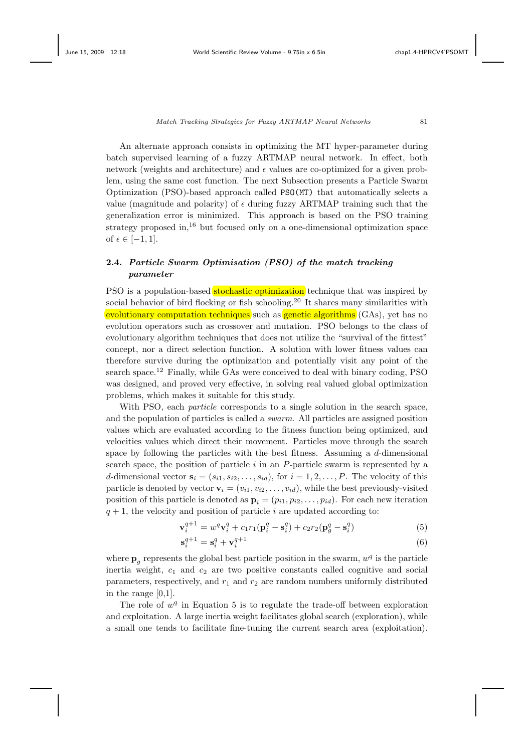An alternate approach consists in optimizing the MT hyper-parameter during batch supervised learning of a fuzzy ARTMAP neural network. In effect, both network (weights and architecture) and  $\epsilon$  values are co-optimized for a given problem, using the same cost function. The next Subsection presents a Particle Swarm Optimization (PSO)-based approach called PSO(MT) that automatically selects a value (magnitude and polarity) of  $\epsilon$  during fuzzy ARTMAP training such that the generalization error is minimized. This approach is based on the PSO training strategy proposed in, $16$  but focused only on a one-dimensional optimization space of  $\epsilon \in [-1, 1]$ .

# **2.4.** *Particle Swarm Optimisation (PSO) of the match tracking parameter*

PSO is a population-based stochastic optimization technique that was inspired by social behavior of bird flocking or fish schooling.<sup>20</sup> It shares many similarities with evolutionary computation techniques such as genetic algorithms (GAs), yet has no evolution operators such as crossover and mutation. PSO belongs to the class of evolutionary algorithm techniques that does not utilize the "survival of the fittest" concept, nor a direct selection function. A solution with lower fitness values can therefore survive during the optimization and potentially visit any point of the search space.<sup>12</sup> Finally, while GAs were conceived to deal with binary coding, PSO was designed, and proved very effective, in solving real valued global optimization problems, which makes it suitable for this study.

With PSO, each *particle* corresponds to a single solution in the search space, and the population of particles is called a *swarm*. All particles are assigned position values which are evaluated according to the fitness function being optimized, and velocities values which direct their movement. Particles move through the search space by following the particles with the best fitness. Assuming a d-dimensional search space, the position of particle  $i$  in an P-particle swarm is represented by a d-dimensional vector  $\mathbf{s}_i = (s_{i1}, s_{i2}, \ldots, s_{id})$ , for  $i = 1, 2, \ldots, P$ . The velocity of this particle is denoted by vector  $\mathbf{v}_i = (v_{i1}, v_{i2}, \dots, v_{id})$ , while the best previously-visited position of this particle is denoted as  $\mathbf{p}_i = (p_{i1}, p_{i2}, \dots, p_{id})$ . For each new iteration  $q + 1$ , the velocity and position of particle i are updated according to:

$$
\mathbf{v}_{i}^{q+1} = w^{q} \mathbf{v}_{i}^{q} + c_{1} r_{1} (\mathbf{p}_{i}^{q} - \mathbf{s}_{i}^{q}) + c_{2} r_{2} (\mathbf{p}_{g}^{q} - \mathbf{s}_{i}^{q})
$$
(5)

$$
\mathbf{s}_i^{q+1} = \mathbf{s}_i^q + \mathbf{v}_i^{q+1} \tag{6}
$$

where  $\mathbf{p}_q$  represents the global best particle position in the swarm,  $w^q$  is the particle inertia weight,  $c_1$  and  $c_2$  are two positive constants called cognitive and social parameters, respectively, and  $r_1$  and  $r_2$  are random numbers uniformly distributed in the range [0,1].

The role of  $w<sup>q</sup>$  in Equation 5 is to regulate the trade-off between exploration and exploitation. A large inertia weight facilitates global search (exploration), while a small one tends to facilitate fine-tuning the current search area (exploitation).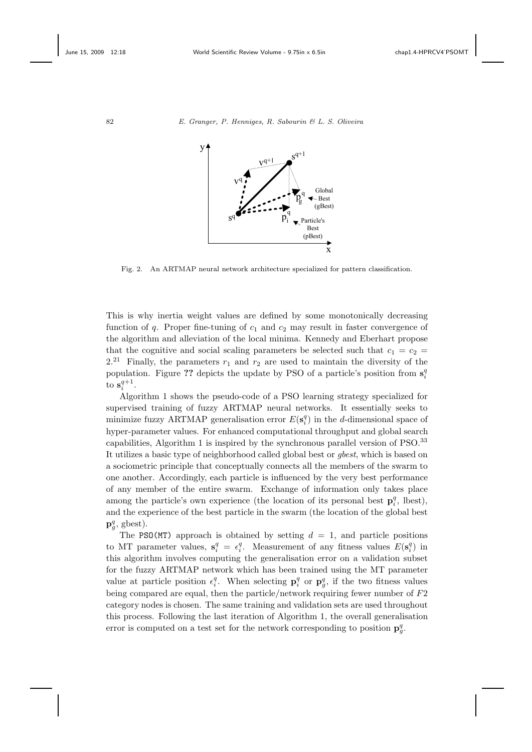

Fig. 2. An ARTMAP neural network architecture specialized for pattern classification.

This is why inertia weight values are defined by some monotonically decreasing function of q. Proper fine-tuning of  $c_1$  and  $c_2$  may result in faster convergence of the algorithm and alleviation of the local minima. Kennedy and Eberhart propose that the cognitive and social scaling parameters be selected such that  $c_1 = c_2$  $2.^{21}$  Finally, the parameters  $r_1$  and  $r_2$  are used to maintain the diversity of the population. Figure ?? depicts the update by PSO of a particle's position from  $\mathbf{s}_i^q$ to  $\mathbf{s}_i^{q+1}$ .

Algorithm 1 shows the pseudo-code of a PSO learning strategy specialized for supervised training of fuzzy ARTMAP neural networks. It essentially seeks to minimize fuzzy ARTMAP generalisation error  $E(\mathbf{s}_i^q)$  in the *d*-dimensional space of hyper-parameter values. For enhanced computational throughput and global search capabilities, Algorithm 1 is inspired by the synchronous parallel version of PSO.<sup>33</sup> It utilizes a basic type of neighborhood called global best or *gbest*, which is based on a sociometric principle that conceptually connects all the members of the swarm to one another. Accordingly, each particle is influenced by the very best performance of any member of the entire swarm. Exchange of information only takes place among the particle's own experience (the location of its personal best  $\mathbf{p}_i^q$ , lbest), and the experience of the best particle in the swarm (the location of the global best  $\mathbf{p}_g^q$ , gbest).

The PSO(MT) approach is obtained by setting  $d = 1$ , and particle positions to MT parameter values,  $s_i^q = \epsilon_i^q$ . Measurement of any fitness values  $E(s_i^q)$  in this algorithm involves computing the generalisation error on a validation subset for the fuzzy ARTMAP network which has been trained using the MT parameter value at particle position  $\epsilon_i^q$ . When selecting  $\mathbf{p}_i^q$  or  $\mathbf{p}_g^q$ , if the two fitness values being compared are equal, then the particle/network requiring fewer number of F2 category nodes is chosen. The same training and validation sets are used throughout this process. Following the last iteration of Algorithm 1, the overall generalisation error is computed on a test set for the network corresponding to position  $\mathbf{p}_g^q$ .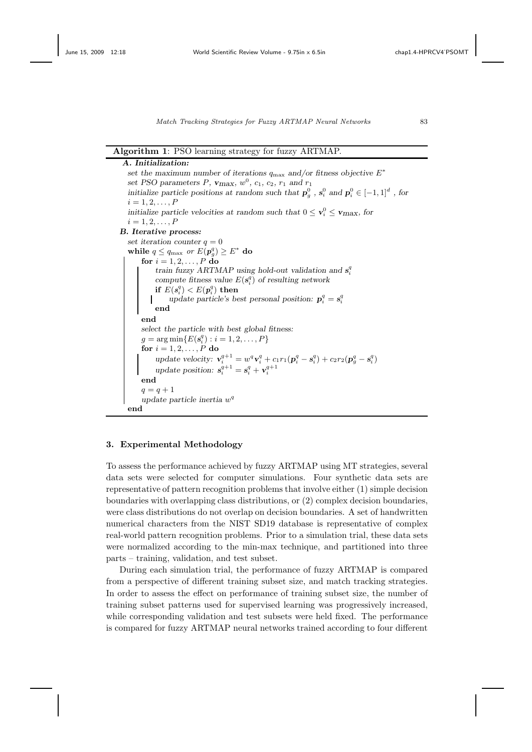#### **Algorithm 1**: PSO learning strategy for fuzzy ARTMAP.

*A. Initialization: set the maximum number of iterations*  $q_{\text{max}}$  *and/or fitness objective*  $E^*$ *set PSO parameters P,*  $v_{\text{max}}$ *,*  $w^0$ *,*  $c_1$ *,*  $c_2$ *,*  $r_1$  *and*  $r_1$ *initialize particle positions at random such that*  $p_g^0$ ,  $s_i^0$  and  $p_i^0 \in [-1,1]^d$ , for  $i = 1, 2, \ldots, P$ *initialize particle velocities at random such that*  $0 \le v_i^0 \le \mathbf{v}_{\text{max}}$ , for  $i = 1, 2, \ldots, P$ *B. Iterative process: set iteration counter*  $q = 0$ **while**  $q \leq q_{\text{max}}$  *or*  $E(p_q^q) \geq E^*$  **do**<br>for  $i = 1, 2, \ldots, P$  **do for**  $i = 1, 2, ..., P$  **do** *train fuzzy ARTMAP using hold-out validation and*  $s_i^q$ *compute fitness value*  $E(s_i^q)$  *of resulting network*<br> *if*  $E(s_i^q) < E(\mathbf{a}^q)$  **thon if**  $E(s_i^q) < E(p_i^q)$  **then**<br>undate particle's be *update particle's best personal position:*  $p_i^q = s_i^q$ **end end** *select the particle with best global fitness:*  $g = \arg \min \{ E(s_i^q) : i = 1, 2, ..., P \}$ <br>
for  $i = 1, 2, ..., P$  do for  $i=1,2,\ldots,P$  do *update velocity:*  $\mathbf{v}_i^{q+1} = w^q \mathbf{v}_i^q + c_1 r_1 (\mathbf{p}_i^q - \mathbf{s}_i^q) + c_2 r_2 (\mathbf{p}_g^q - \mathbf{s}_i^q)$ *update position:*  $s_i^{q+1} = s_i^q + v_i^{q+1}$ **end**  $q = q + 1$ *update particle inertia*  $w<sup>q</sup>$ **end**

## **3. Experimental Methodology**

To assess the performance achieved by fuzzy ARTMAP using MT strategies, several data sets were selected for computer simulations. Four synthetic data sets are representative of pattern recognition problems that involve either (1) simple decision boundaries with overlapping class distributions, or (2) complex decision boundaries, were class distributions do not overlap on decision boundaries. A set of handwritten numerical characters from the NIST SD19 database is representative of complex real-world pattern recognition problems. Prior to a simulation trial, these data sets were normalized according to the min-max technique, and partitioned into three parts – training, validation, and test subset.

During each simulation trial, the performance of fuzzy ARTMAP is compared from a perspective of different training subset size, and match tracking strategies. In order to assess the effect on performance of training subset size, the number of training subset patterns used for supervised learning was progressively increased, while corresponding validation and test subsets were held fixed. The performance is compared for fuzzy ARTMAP neural networks trained according to four different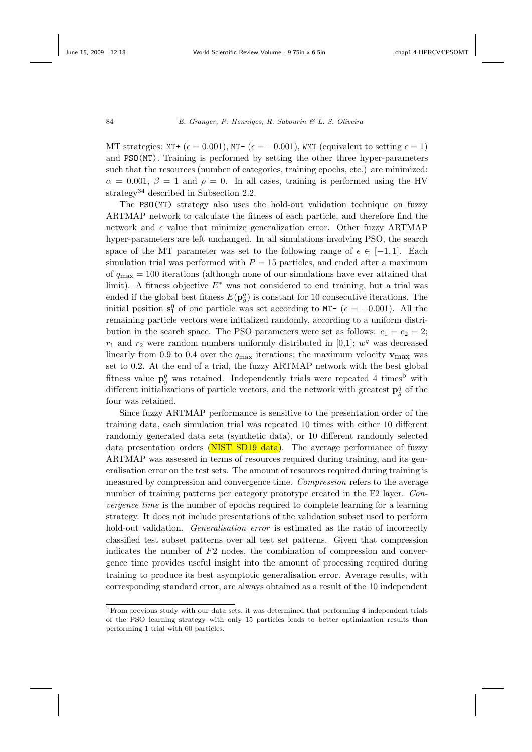MT strategies: MT+ ( $\epsilon = 0.001$ ), MT- ( $\epsilon = -0.001$ ), WMT (equivalent to setting  $\epsilon = 1$ ) and PSO(MT). Training is performed by setting the other three hyper-parameters such that the resources (number of categories, training epochs, etc.) are minimized:  $\alpha = 0.001, \beta = 1$  and  $\overline{\rho} = 0$ . In all cases, training is performed using the HV strategy<sup>34</sup> described in Subsection 2.2.

The PSO(MT) strategy also uses the hold-out validation technique on fuzzy ARTMAP network to calculate the fitness of each particle, and therefore find the network and  $\epsilon$  value that minimize generalization error. Other fuzzy ARTMAP hyper-parameters are left unchanged. In all simulations involving PSO, the search space of the MT parameter was set to the following range of  $\epsilon \in [-1,1]$ . Each simulation trial was performed with  $P = 15$  particles, and ended after a maximum of  $q_{\text{max}} = 100$  iterations (although none of our simulations have ever attained that limit). A fitness objective  $E^*$  was not considered to end training, but a trial was ended if the global best fitness  $E(\mathbf{p}_{g}^{q})$  is constant for 10 consecutive iterations. The initial position  $s_1^0$  of one particle was set according to MT- ( $\epsilon = -0.001$ ). All the remaining particle vectors were initialized randomly, according to a uniform distribution in the search space. The PSO parameters were set as follows:  $c_1 = c_2 = 2$ ;  $r_1$  and  $r_2$  were random numbers uniformly distributed in [0,1];  $w<sup>q</sup>$  was decreased linearly from 0.9 to 0.4 over the  $q_{\text{max}}$  iterations; the maximum velocity  $\mathbf{v}_{\text{max}}$  was set to 0.2. At the end of a trial, the fuzzy ARTMAP network with the best global fitness value  $\mathbf{p}_{g}^{q}$  was retained. Independently trials were repeated 4 times<sup>b</sup> with different initializations of particle vectors, and the network with greatest  $\mathbf{p}_g^q$  of the four was retained.

Since fuzzy ARTMAP performance is sensitive to the presentation order of the training data, each simulation trial was repeated 10 times with either 10 different randomly generated data sets (synthetic data), or 10 different randomly selected data presentation orders (NIST SD19 data). The average performance of fuzzy ARTMAP was assessed in terms of resources required during training, and its generalisation error on the test sets. The amount of resources required during training is measured by compression and convergence time. *Compression* refers to the average number of training patterns per category prototype created in the F2 layer. *Convergence time* is the number of epochs required to complete learning for a learning strategy. It does not include presentations of the validation subset used to perform hold-out validation. *Generalisation error* is estimated as the ratio of incorrectly classified test subset patterns over all test set patterns. Given that compression indicates the number of  $F2$  nodes, the combination of compression and convergence time provides useful insight into the amount of processing required during training to produce its best asymptotic generalisation error. Average results, with corresponding standard error, are always obtained as a result of the 10 independent

b<sub>From</sub> previous study with our data sets, it was determined that performing 4 independent trials of the PSO learning strategy with only 15 particles leads to better optimization results than performing 1 trial with 60 particles.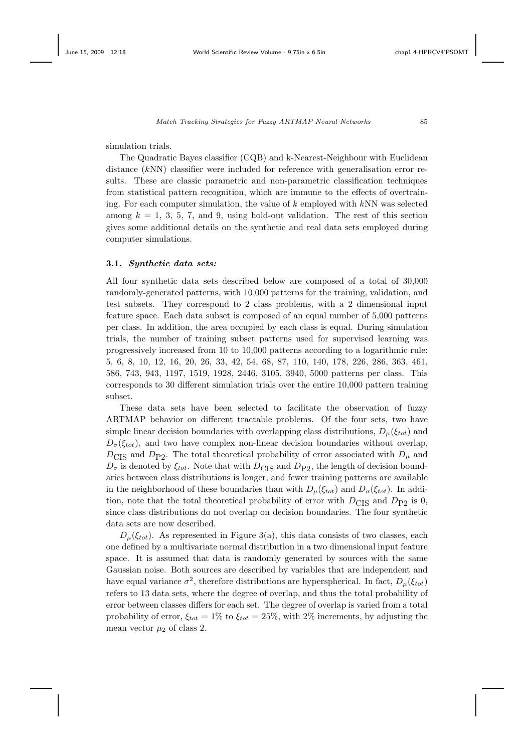simulation trials.

The Quadratic Bayes classifier (CQB) and k-Nearest-Neighbour with Euclidean distance (kNN) classifier were included for reference with generalisation error results. These are classic parametric and non-parametric classification techniques from statistical pattern recognition, which are immune to the effects of overtraining. For each computer simulation, the value of *k* employed with kNN was selected among  $k = 1, 3, 5, 7,$  and 9, using hold-out validation. The rest of this section gives some additional details on the synthetic and real data sets employed during computer simulations.

#### **3.1.** *Synthetic data sets:*

All four synthetic data sets described below are composed of a total of 30,000 randomly-generated patterns, with 10,000 patterns for the training, validation, and test subsets. They correspond to 2 class problems, with a 2 dimensional input feature space. Each data subset is composed of an equal number of 5,000 patterns per class. In addition, the area occupied by each class is equal. During simulation trials, the number of training subset patterns used for supervised learning was progressively increased from 10 to 10,000 patterns according to a logarithmic rule: 5, 6, 8, 10, 12, 16, 20, 26, 33, 42, 54, 68, 87, 110, 140, 178, 226, 286, 363, 461, 586, 743, 943, 1197, 1519, 1928, 2446, 3105, 3940, 5000 patterns per class. This corresponds to 30 different simulation trials over the entire 10,000 pattern training subset.

These data sets have been selected to facilitate the observation of fuzzy ARTMAP behavior on different tractable problems. Of the four sets, two have simple linear decision boundaries with overlapping class distributions,  $D_{\mu}(\xi_{tot})$  and  $D_{\sigma}(\xi_{tot})$ , and two have complex non-linear decision boundaries without overlap,  $D_{\text{CIS}}$  and  $D_{\text{P2}}$ . The total theoretical probability of error associated with  $D_{\mu}$  and  $D_{\sigma}$  is denoted by  $\xi_{tot}$ . Note that with  $D_{\text{CIS}}$  and  $D_{\text{P2}}$ , the length of decision boundaries between class distributions is longer, and fewer training patterns are available in the neighborhood of these boundaries than with  $D_{\mu}(\xi_{tot})$  and  $D_{\sigma}(\xi_{tot})$ . In addition, note that the total theoretical probability of error with  $D_{\text{CIS}}$  and  $D_{\text{P2}}$  is 0, since class distributions do not overlap on decision boundaries. The four synthetic data sets are now described.

 $D_{\mu}(\xi_{tot})$ . As represented in Figure 3(a), this data consists of two classes, each one defined by a multivariate normal distribution in a two dimensional input feature space. It is assumed that data is randomly generated by sources with the same Gaussian noise. Both sources are described by variables that are independent and have equal variance  $\sigma^2$ , therefore distributions are hyperspherical. In fact,  $D_\mu(\xi_{tot})$ refers to 13 data sets, where the degree of overlap, and thus the total probability of error between classes differs for each set. The degree of overlap is varied from a total probability of error,  $\xi_{tot} = 1\%$  to  $\xi_{tot} = 25\%$ , with 2% increments, by adjusting the mean vector  $\mu_2$  of class 2.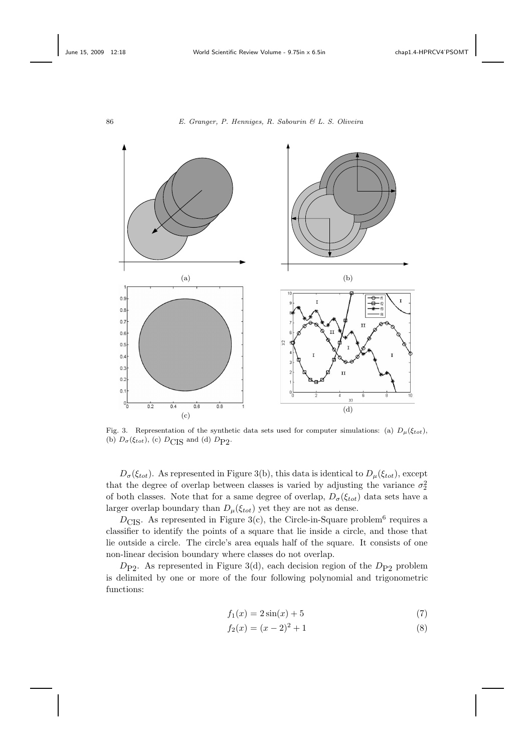



Fig. 3. Representation of the synthetic data sets used for computer simulations: (a)  $D_{\mu}(\xi_{tot})$ , (b)  $D_{\sigma}(\xi_{tot})$ , (c)  $D_{\text{CIS}}$  and (d)  $D_{\text{P2}}$ .

 $D_{\sigma}(\xi_{tot})$ . As represented in Figure 3(b), this data is identical to  $D_{\mu}(\xi_{tot})$ , except that the degree of overlap between classes is varied by adjusting the variance  $\sigma_2^2$ of both classes. Note that for a same degree of overlap,  $D_{\sigma}(\xi_{tot})$  data sets have a larger overlap boundary than  $D_{\mu}(\xi_{tot})$  yet they are not as dense.

 $D_{\text{CIS}}$ . As represented in Figure 3(c), the Circle-in-Square problem<sup>6</sup> requires a classifier to identify the points of a square that lie inside a circle, and those that lie outside a circle. The circle's area equals half of the square. It consists of one non-linear decision boundary where classes do not overlap.

 $D_{P2}$ . As represented in Figure 3(d), each decision region of the  $D_{P2}$  problem is delimited by one or more of the four following polynomial and trigonometric functions:

$$
f_1(x) = 2\sin(x) + 5\tag{7}
$$

$$
f_2(x) = (x - 2)^2 + 1\tag{8}
$$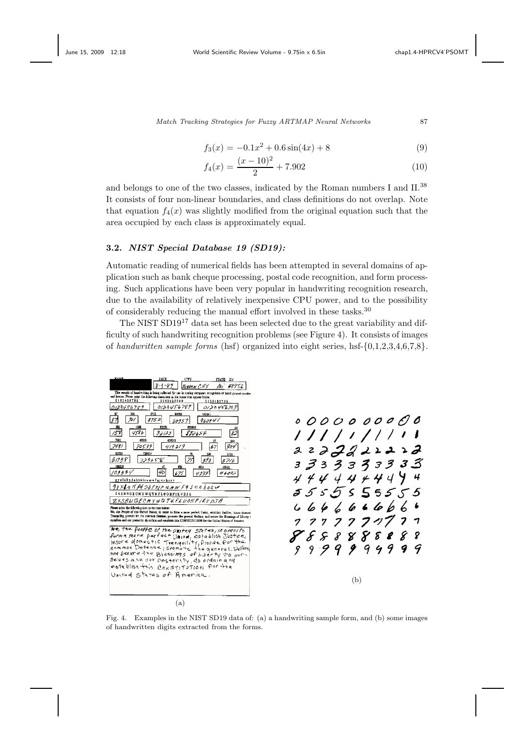$$
f_3(x) = -0.1x^2 + 0.6\sin(4x) + 8\tag{9}
$$

$$
f_4(x) = \frac{(x-10)^2}{2} + 7.902\tag{10}
$$

and belongs to one of the two classes, indicated by the Roman numbers I and  $\rm II.^{38}$ It consists of four non-linear boundaries, and class definitions do not overlap. Note that equation  $f_4(x)$  was slightly modified from the original equation such that the area occupied by each class is approximately equal.

# **3.2.** *NIST Special Database 19 (SD19):*

Automatic reading of numerical fields has been attempted in several domains of application such as bank cheque processing, postal code recognition, and form processing. Such applications have been very popular in handwriting recognition research, due to the availability of relatively inexpensive CPU power, and to the possibility of considerably reducing the manual effort involved in these tasks.<sup>30</sup>

The NIST SD19<sup>17</sup> data set has been selected due to the great variability and difficulty of such handwriting recognition problems (see Figure 4). It consists of images of *handwritten sample forms* (hsf) organized into eight series, hsf-{0,1,2,3,4,6,7,8}.



Fig. 4. Examples in the NIST SD19 data of: (a) a handwriting sample form, and (b) some images of handwritten digits extracted from the forms.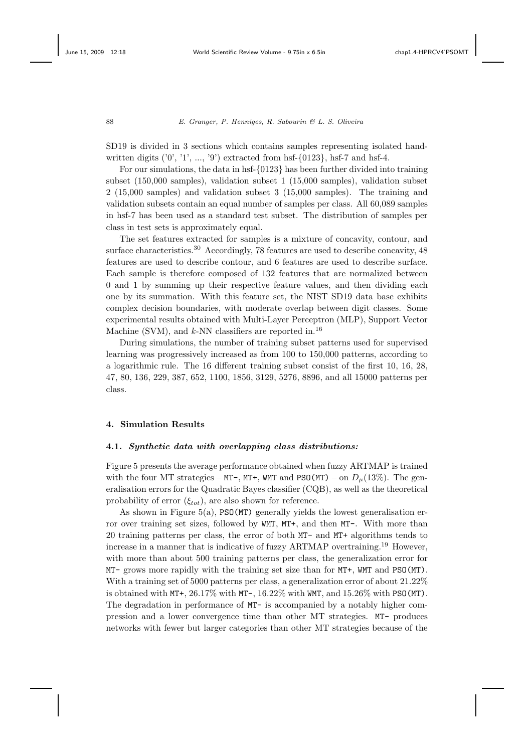SD19 is divided in 3 sections which contains samples representing isolated handwritten digits  $(0', 1', ..., 9')$  extracted from hsf- $\{0123\}$ , hsf-7 and hsf-4.

For our simulations, the data in hsf-{0123} has been further divided into training subset (150,000 samples), validation subset 1 (15,000 samples), validation subset 2 (15,000 samples) and validation subset 3 (15,000 samples). The training and validation subsets contain an equal number of samples per class. All 60,089 samples in hsf-7 has been used as a standard test subset. The distribution of samples per class in test sets is approximately equal.

The set features extracted for samples is a mixture of concavity, contour, and surface characteristics.<sup>30</sup> Accordingly, 78 features are used to describe concavity, 48 features are used to describe contour, and 6 features are used to describe surface. Each sample is therefore composed of 132 features that are normalized between 0 and 1 by summing up their respective feature values, and then dividing each one by its summation. With this feature set, the NIST SD19 data base exhibits complex decision boundaries, with moderate overlap between digit classes. Some experimental results obtained with Multi-Layer Perceptron (MLP), Support Vector Machine (SVM), and  $k$ -NN classifiers are reported in.<sup>16</sup>

During simulations, the number of training subset patterns used for supervised learning was progressively increased as from 100 to 150,000 patterns, according to a logarithmic rule. The 16 different training subset consist of the first 10, 16, 28, 47, 80, 136, 229, 387, 652, 1100, 1856, 3129, 5276, 8896, and all 15000 patterns per class.

# **4. Simulation Results**

### **4.1.** *Synthetic data with overlapping class distributions:*

Figure 5 presents the average performance obtained when fuzzy ARTMAP is trained with the four MT strategies – MT-, MT+, WMT and PSO(MT) – on  $D_u(13\%)$ . The generalisation errors for the Quadratic Bayes classifier (CQB), as well as the theoretical probability of error  $(\xi_{tot})$ , are also shown for reference.

As shown in Figure 5(a), PSO(MT) generally yields the lowest generalisation error over training set sizes, followed by WMT, MT+, and then MT-. With more than 20 training patterns per class, the error of both MT- and MT+ algorithms tends to increase in a manner that is indicative of fuzzy ARTMAP overtraining.<sup>19</sup> However, with more than about 500 training patterns per class, the generalization error for MT- grows more rapidly with the training set size than for MT+, WMT and PSO(MT). With a training set of 5000 patterns per class, a generalization error of about 21.22% is obtained with MT+,  $26.17\%$  with MT-,  $16.22\%$  with WMT, and  $15.26\%$  with PSO(MT). The degradation in performance of MT- is accompanied by a notably higher compression and a lower convergence time than other MT strategies. MT- produces networks with fewer but larger categories than other MT strategies because of the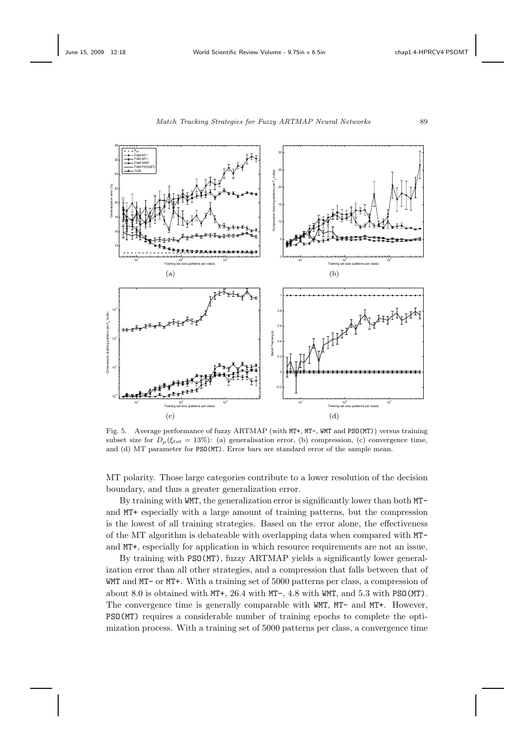



Fig. 5. Average performance of fuzzy ARTMAP (with MT+, MT-, WMT and PSO(MT)) versus training subset size for  $D_{\mu}(\xi_{tot} = 13\%)$ : (a) generalisation error, (b) compression, (c) convergence time, and (d) MT parameter for PSO(MT). Error bars are standard error of the sample mean.

MT polarity. Those large categories contribute to a lower resolution of the decision boundary, and thus a greater generalization error.

By training with WMT, the generalization error is significantly lower than both MTand MT+ especially with a large amount of training patterns, but the compression is the lowest of all training strategies. Based on the error alone, the effectiveness of the MT algorithm is debateable with overlapping data when compared with MTand MT+, especially for application in which resource requirements are not an issue.

By training with PSO(MT), fuzzy ARTMAP yields a significantly lower generalization error than all other strategies, and a compression that falls between that of WMT and MT- or MT+. With a training set of 5000 patterns per class, a compression of about 8.0 is obtained with MT+, 26.4 with MT-, 4.8 with WMT, and 5.3 with PSO(MT). The convergence time is generally comparable with WMT, MT- and MT+. However, PSO(MT) requires a considerable number of training epochs to complete the optimization process. With a training set of 5000 patterns per class, a convergence time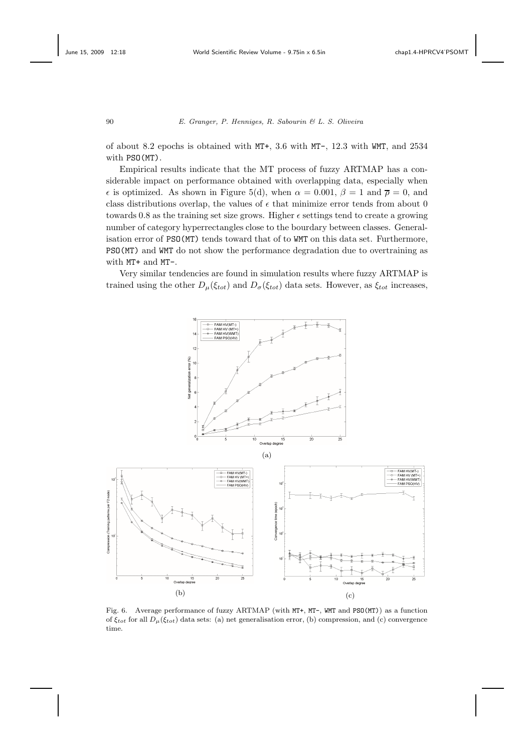of about 8.2 epochs is obtained with MT+, 3.6 with MT-, 12.3 with WMT, and 2534 with PSO(MT).

Empirical results indicate that the MT process of fuzzy ARTMAP has a considerable impact on performance obtained with overlapping data, especially when  $\epsilon$  is optimized. As shown in Figure 5(d), when  $\alpha = 0.001$ ,  $\beta = 1$  and  $\bar{\rho} = 0$ , and class distributions overlap, the values of  $\epsilon$  that minimize error tends from about 0 towards 0.8 as the training set size grows. Higher  $\epsilon$  settings tend to create a growing number of category hyperrectangles close to the bourdary between classes. Generalisation error of PSO(MT) tends toward that of to WMT on this data set. Furthermore, PSO(MT) and WMT do not show the performance degradation due to overtraining as with MT+ and MT-.

Very similar tendencies are found in simulation results where fuzzy ARTMAP is trained using the other  $D_{\mu}(\xi_{tot})$  and  $D_{\sigma}(\xi_{tot})$  data sets. However, as  $\xi_{tot}$  increases,



Fig. 6. Average performance of fuzzy ARTMAP (with MT+, MT-, WMT and PSO(MT)) as a function of  $\xi_{tot}$  for all  $D_{\mu}(\xi_{tot})$  data sets: (a) net generalisation error, (b) compression, and (c) convergence time.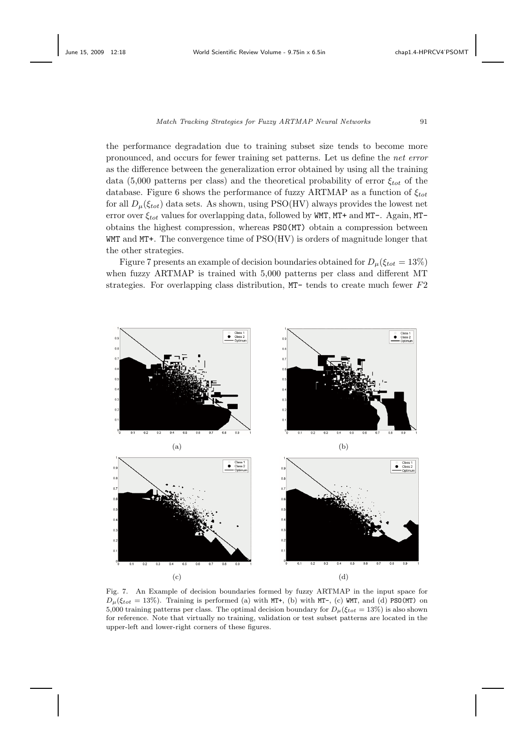the performance degradation due to training subset size tends to become more pronounced, and occurs for fewer training set patterns. Let us define the *net error* as the difference between the generalization error obtained by using all the training data (5,000 patterns per class) and the theoretical probability of error  $\xi_{tot}$  of the database. Figure 6 shows the performance of fuzzy ARTMAP as a function of  $\xi_{tot}$ for all  $D_{\mu}(\xi_{tot})$  data sets. As shown, using PSO(HV) always provides the lowest net error over  $\xi_{tot}$  values for overlapping data, followed by WMT, MT+ and MT-. Again, MTobtains the highest compression, whereas PSO(MT) obtain a compression between WMT and MT+. The convergence time of PSO(HV) is orders of magnitude longer that the other strategies.

Figure 7 presents an example of decision boundaries obtained for  $D_{\mu}(\xi_{tot} = 13\%)$ when fuzzy ARTMAP is trained with 5,000 patterns per class and different MT strategies. For overlapping class distribution, MT- tends to create much fewer F2



Fig. 7. An Example of decision boundaries formed by fuzzy ARTMAP in the input space for  $D_{\mu}(\xi_{tot} = 13\%)$ . Training is performed (a) with MT+, (b) with MT-, (c) WMT, and (d) PSO(MT) on 5,000 training patterns per class. The optimal decision boundary for  $D_{\mu}(\xi_{tot} = 13\%)$  is also shown for reference. Note that virtually no training, validation or test subset patterns are located in the upper-left and lower-right corners of these figures.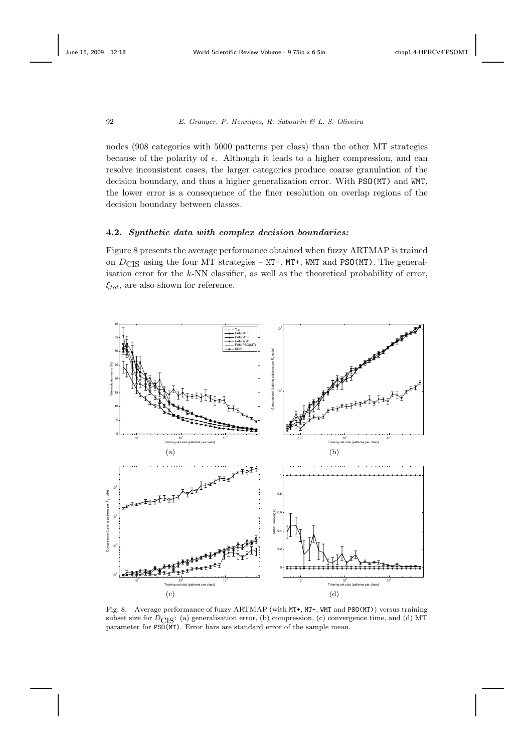nodes (908 categories with 5000 patterns per class) than the other MT strategies because of the polarity of  $\epsilon$ . Although it leads to a higher compression, and can resolve inconsistent cases, the larger categories produce coarse granulation of the decision boundary, and thus a higher generalization error. With PSO(MT) and WMT, the lower error is a consequence of the finer resolution on overlap regions of the decision boundary between classes.

#### **4.2.** *Synthetic data with complex decision boundaries:*

Figure 8 presents the average performance obtained when fuzzy ARTMAP is trained on  $D_{\text{CIS}}$  using the four MT strategies – MT-, MT+, WMT and PSO(MT). The generalisation error for the *k*-NN classifier, as well as the theoretical probability of error,  $\xi_{tot}$ , are also shown for reference.



Fig. 8. Average performance of fuzzy ARTMAP (with MT+, MT-, WMT and PSO(MT)) versus training subset size for  $D_{\text{CIS}}$ : (a) generalisation error, (b) compression, (c) convergence time, and (d) MT parameter for PSO(MT). Error bars are standard error of the sample mean.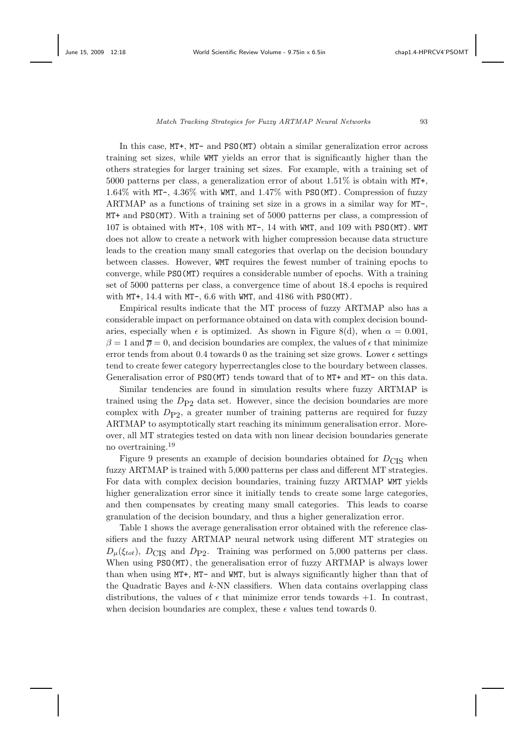In this case, MT+, MT- and PSO(MT) obtain a similar generalization error across training set sizes, while WMT yields an error that is significantly higher than the others strategies for larger training set sizes. For example, with a training set of 5000 patterns per class, a generalization error of about 1.51% is obtain with MT+, 1.64% with MT-, 4.36% with WMT, and 1.47% with PSO(MT). Compression of fuzzy ARTMAP as a functions of training set size in a grows in a similar way for MT-, MT+ and PSO(MT). With a training set of 5000 patterns per class, a compression of 107 is obtained with MT+, 108 with MT-, 14 with WMT, and 109 with PSO(MT). WMT does not allow to create a network with higher compression because data structure leads to the creation many small categories that overlap on the decision boundary between classes. However, WMT requires the fewest number of training epochs to converge, while PSO(MT) requires a considerable number of epochs. With a training set of 5000 patterns per class, a convergence time of about 18.4 epochs is required with MT+, 14.4 with MT-, 6.6 with WMT, and 4186 with PSO(MT).

Empirical results indicate that the MT process of fuzzy ARTMAP also has a considerable impact on performance obtained on data with complex decision boundaries, especially when  $\epsilon$  is optimized. As shown in Figure 8(d), when  $\alpha = 0.001$ ,  $\beta = 1$  and  $\overline{\rho} = 0$ , and decision boundaries are complex, the values of  $\epsilon$  that minimize error tends from about 0.4 towards 0 as the training set size grows. Lower  $\epsilon$  settings tend to create fewer category hyperrectangles close to the bourdary between classes. Generalisation error of PSO(MT) tends toward that of to MT+ and MT- on this data.

Similar tendencies are found in simulation results where fuzzy ARTMAP is trained using the  $D_{P2}$  data set. However, since the decision boundaries are more complex with  $D_{\text{P2}}$ , a greater number of training patterns are required for fuzzy ARTMAP to asymptotically start reaching its minimum generalisation error. Moreover, all MT strategies tested on data with non linear decision boundaries generate no overtraining.<sup>19</sup>

Figure 9 presents an example of decision boundaries obtained for  $D_{\text{CIS}}$  when fuzzy ARTMAP is trained with 5,000 patterns per class and different MT strategies. For data with complex decision boundaries, training fuzzy ARTMAP WMT yields higher generalization error since it initially tends to create some large categories, and then compensates by creating many small categories. This leads to coarse granulation of the decision boundary, and thus a higher generalization error.

Table 1 shows the average generalisation error obtained with the reference classifiers and the fuzzy ARTMAP neural network using different MT strategies on  $D_{\mu}(\xi_{tot})$ ,  $D_{\text{CIS}}$  and  $D_{\text{P2}}$ . Training was performed on 5,000 patterns per class. When using  $PSO(MT)$ , the generalisation error of fuzzy ARTMAP is always lower than when using MT+, MT- and WMT, but is always significantly higher than that of the Quadratic Bayes and  $k$ -NN classifiers. When data contains overlapping class distributions, the values of  $\epsilon$  that minimize error tends towards  $+1$ . In contrast, when decision boundaries are complex, these  $\epsilon$  values tend towards 0.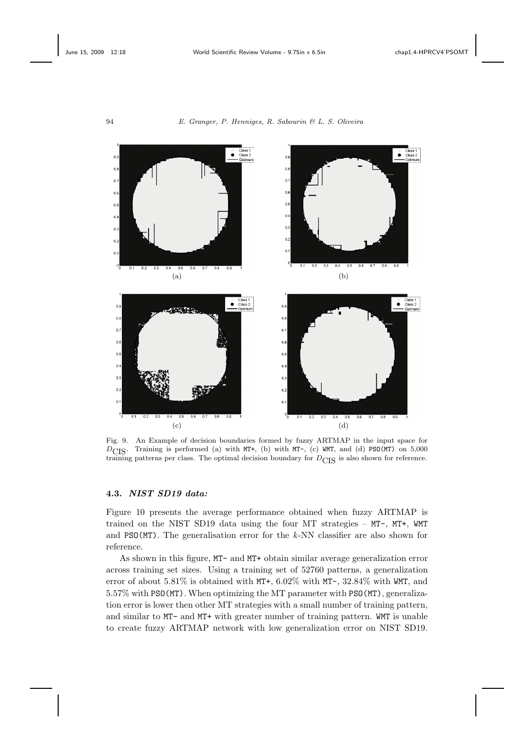



Fig. 9. An Example of decision boundaries formed by fuzzy ARTMAP in the input space for  $D_{\text{CIS}}$ . Training is performed (a) with MT+, (b) with MT-, (c) WMT, and (d) PSO(MT) on 5,000 training patterns per class. The optimal decision boundary for  $D_{\text{CIS}}$  is also shown for reference.

## **4.3.** *NIST SD19 data:*

Figure 10 presents the average performance obtained when fuzzy ARTMAP is trained on the NIST SD19 data using the four MT strategies – MT-, MT+, WMT and PSO(MT). The generalisation error for the *k*-NN classifier are also shown for reference.

As shown in this figure, MT- and MT+ obtain similar average generalization error across training set sizes. Using a training set of 52760 patterns, a generalization error of about 5.81% is obtained with MT+, 6.02% with MT-, 32.84% with WMT, and 5.57% with PSO(MT). When optimizing the MT parameter with PSO(MT), generalization error is lower then other MT strategies with a small number of training pattern, and similar to MT- and MT+ with greater number of training pattern. WMT is unable to create fuzzy ARTMAP network with low generalization error on NIST SD19.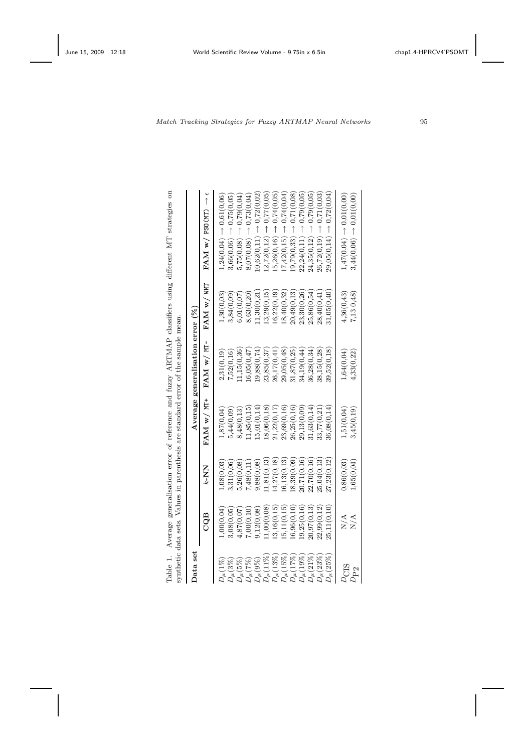| <b>All Courses</b><br>l                                                                                                         |                     |
|---------------------------------------------------------------------------------------------------------------------------------|---------------------|
| $\frac{1}{2}$<br>ţ                                                                                                              |                     |
| Ŝ                                                                                                                               |                     |
| )<br>j                                                                                                                          |                     |
| j                                                                                                                               | is a control of     |
| $\frac{1}{1}$<br>ׇ֚֚֬<br>$\frac{1}{1}$<br>Ì<br>י<br>י                                                                           |                     |
| ֦֧֦֧֦֧֦֧֦֧֦֧ׅ֧֦֧֧֦֧֦֧֦֧֦֧֦֧֦֧֦֧֦֧֧֦֧֦֧֧֦֧֧ׅ֧֧֧֧ׅ֧֧֧֧ׅ֛֪֪֪֪֪֪֪֪֪֪֪֪֪֪֪֪֪֪֪֪֪֪֪֪֪֪֪֪֪֪֚֚֚֚֚֚֚֬֜֓֓֓֓֓֓֜֓֓֓֓֜֓֓֝֬֜<br>$\frac{1}{2}$ |                     |
|                                                                                                                                 |                     |
| concert in a concert in the concert of the contract of the concert of the concert in the concert of the concert                 | i<br>i<br>S         |
|                                                                                                                                 | contracts in        |
| $\frac{1}{2}$                                                                                                                   |                     |
|                                                                                                                                 |                     |
|                                                                                                                                 | <b>Malazar</b>      |
|                                                                                                                                 |                     |
| $\sim$<br>ة باقعة<br>م<br>$\frac{1}{2}$                                                                                         | て こうしょう             |
| i                                                                                                                               |                     |
| ĺ<br>J<br>ŝ<br>ï                                                                                                                | erric citation<br>j |

|                  |              |             | synthetic data sets. Values in parenthesis are standard error of the sample mean. |                                     |                  | Table 1. Average generalisation error of reference and fuzzy ARTMAP classifiers using different MT strategies on |
|------------------|--------------|-------------|-----------------------------------------------------------------------------------|-------------------------------------|------------------|------------------------------------------------------------------------------------------------------------------|
| Data set         |              |             |                                                                                   | Average generalisation error $(\%)$ |                  |                                                                                                                  |
|                  | CQB          | K-NN        | FAM w/ MT+                                                                        | FAM w/ MT-                          | $FAM \le N$ with | $\uparrow$<br>$FAM \le N$ PSO(MT)                                                                                |
| $D_\mu(1\%)$     | 0.00(0.04)   | ,08(0,03)   | 1,87(0,04)                                                                        | 2,31(0,19)                          | 1,30(0,03)       | $1,24(0.04) \rightarrow 0.61(0.06)$                                                                              |
| $D_\mu(3\%)$     | 0.08(0.05)   | 3,31(0,06   | 5,44(0,09)                                                                        | 7,52(0,16)                          | 3,84(0,09        | $3,66(0,06) \rightarrow 0,75(0,05)$                                                                              |
| $D_\mu(5\%)$     | 4,87(0,07)   | 5,26(0,08)  | 8,48(0,13)                                                                        | (1,15(0,36))                        | 6,01(0,07)       | $5,75(0,08) \rightarrow 0,79(0,04)$                                                                              |
| $D_\mu(7\%)$     | 0.00(0, 10)  | 7,48(0,11)  | 1,85(0,15)                                                                        | 16,05(0,47)                         | 8,63(0,20)       | $8,07(0.08) \rightarrow 0.73(0.04)$                                                                              |
| $D_\mu(9\%)$     | 9,12(0,08)   | 9,88(0,08)  | 5,01(0,14)                                                                        | 19,88(0,74)                         | 11,30(0,21)      | $10,62(0,11) \rightarrow 0,72(0,02)$                                                                             |
| $D_\mu(1\%$      | 1,00(0,08    | 1,81(0,13)  | (8,06(0,18))                                                                      | 23,85(0,37)                         | 13,29(0,15)      | 0,77(0,05)<br>$12,72(0,12) \rightarrow$                                                                          |
| $D_\mu(13\%)$    | 13,16(0,15)  | 4,27(0,18)  | 21,22(0,17)                                                                       | 26,17(0,41                          | 16,22(0,19)      | $15,26(0,16) \rightarrow 0,74(0,05)$                                                                             |
| $D_\mu(15\%)$    | [5,11(0,15)] | 6,13(0,13)  | 23,69(0,16)                                                                       | 29,05(0,48)                         | 18,40(0,32)      | 0.74(0.04<br>$(7,42(0,15) \rightarrow$                                                                           |
| $D_\mu(17\%)$    | (6,96(0,10)) | 8,39(0,09)  | 26,25(0,16)                                                                       | 31,87(0,25)                         | 20,49(0,13)      | $19,79(0,33) \rightarrow 0,71(0,08)$                                                                             |
| $D_\mu(19\%)$    | .9,25(0,16)  | 0,71(0,16)  | 29,13(0,09)                                                                       | 34,19(0,44)                         | 23,30(0,26)      | 0,79(0,05)<br>$22,24(0,11) \rightarrow$                                                                          |
| $D_\mu(21\%)$    | 20,97(0,13)  | 22,70(0,16) | 31,63(0,14)                                                                       | 36,28(0,34)                         | 25,86(0,54)      | 0,79(0,05)<br>$24,35(0,12) \rightarrow$                                                                          |
| $D_\mu(23\%)$    | 22,99(0,12)  | 25.04(0.13) | 33,77(0,21)                                                                       | 38,15(0,28)                         | 28,40(0,41)      | 0.71(0.03)<br>$26,72(0,19) \rightarrow$                                                                          |
| $D_\mu(25\%)$    | 25,11(0,10)  | 27,23(0,12) | 36,08(0,14)                                                                       | 39,52(0,18)                         | 31,05(0,40)      | $29,05(0,14) \rightarrow 0,72(0,04)$                                                                             |
| $\nu_{\rm{CIS}}$ | N/A          | 0,86(0,03)  | 1,51(0,04)                                                                        | 1,64(0,04)                          | 4,36(0,43)       | $1.47(0.04) \rightarrow 0.01(0.00)$                                                                              |
| $D_{\rm P2}$     | N/A          | 1,65(0,04)  | 3,45(0,19)                                                                        | 4,33(0,22)                          | 7,130,48         | $3,44(0,06) \rightarrow 0,01(0,00)$                                                                              |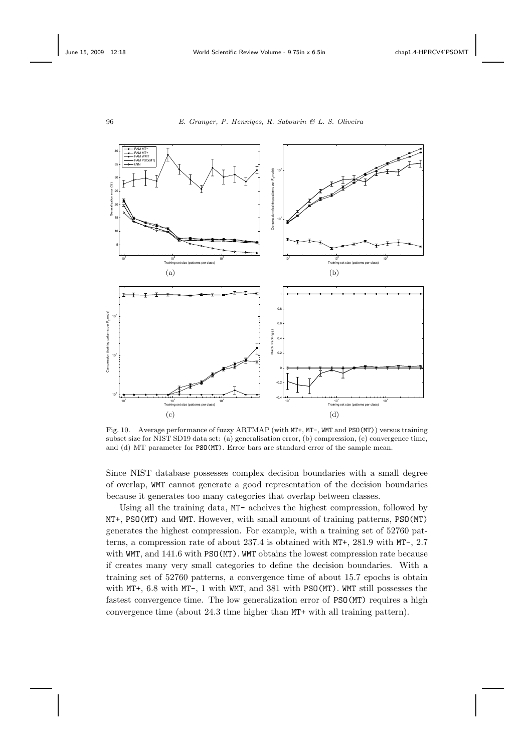

Fig. 10. Average performance of fuzzy ARTMAP (with MT+, MT-, WMT and PSO(MT)) versus training subset size for NIST SD19 data set: (a) generalisation error, (b) compression, (c) convergence time, and (d) MT parameter for PSO(MT). Error bars are standard error of the sample mean.

Since NIST database possesses complex decision boundaries with a small degree of overlap, WMT cannot generate a good representation of the decision boundaries because it generates too many categories that overlap between classes.

Using all the training data, MT- acheives the highest compression, followed by MT+, PSO(MT) and WMT. However, with small amount of training patterns, PSO(MT) generates the highest compression. For example, with a training set of 52760 patterns, a compression rate of about 237.4 is obtained with MT+, 281.9 with MT-, 2.7 with WMT, and 141.6 with PSO(MT). WMT obtains the lowest compression rate because if creates many very small categories to define the decision boundaries. With a training set of 52760 patterns, a convergence time of about 15.7 epochs is obtain with MT+, 6.8 with MT-, 1 with WMT, and 381 with PSO(MT). WMT still possesses the fastest convergence time. The low generalization error of PSO(MT) requires a high convergence time (about 24.3 time higher than MT+ with all training pattern).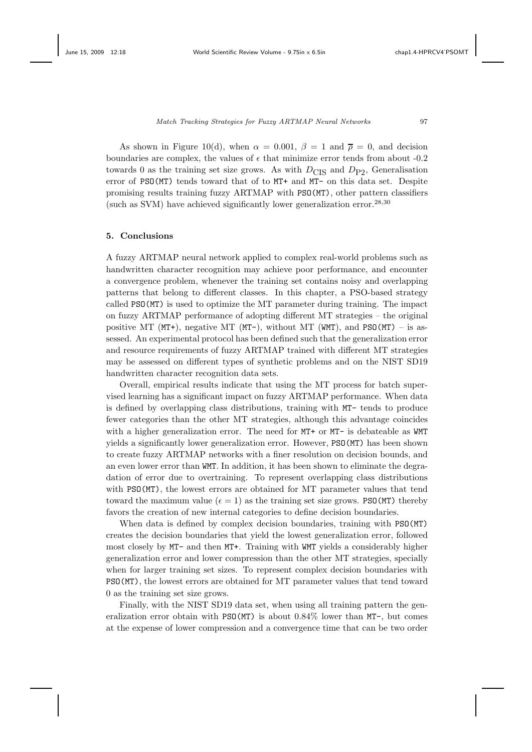As shown in Figure 10(d), when  $\alpha = 0.001$ ,  $\beta = 1$  and  $\overline{\rho} = 0$ , and decision boundaries are complex, the values of  $\epsilon$  that minimize error tends from about -0.2 towards 0 as the training set size grows. As with  $D_{\text{CIS}}$  and  $D_{\text{P2}}$ , Generalisation error of PSO(MT) tends toward that of to MT+ and MT- on this data set. Despite promising results training fuzzy ARTMAP with PSO(MT), other pattern classifiers (such as SVM) have achieved significantly lower generalization error.<sup>28,30</sup>

### **5. Conclusions**

A fuzzy ARTMAP neural network applied to complex real-world problems such as handwritten character recognition may achieve poor performance, and encounter a convergence problem, whenever the training set contains noisy and overlapping patterns that belong to different classes. In this chapter, a PSO-based strategy called PSO(MT) is used to optimize the MT parameter during training. The impact on fuzzy ARTMAP performance of adopting different MT strategies – the original positive MT (MT+), negative MT (MT-), without MT (WMT), and PSO(MT) – is assessed. An experimental protocol has been defined such that the generalization error and resource requirements of fuzzy ARTMAP trained with different MT strategies may be assessed on different types of synthetic problems and on the NIST SD19 handwritten character recognition data sets.

Overall, empirical results indicate that using the MT process for batch supervised learning has a significant impact on fuzzy ARTMAP performance. When data is defined by overlapping class distributions, training with MT- tends to produce fewer categories than the other MT strategies, although this advantage coincides with a higher generalization error. The need for MT+ or MT- is debateable as WMT yields a significantly lower generalization error. However, PSO(MT) has been shown to create fuzzy ARTMAP networks with a finer resolution on decision bounds, and an even lower error than WMT. In addition, it has been shown to eliminate the degradation of error due to overtraining. To represent overlapping class distributions with PSO(MT), the lowest errors are obtained for MT parameter values that tend toward the maximum value  $(\epsilon = 1)$  as the training set size grows. PSO(MT) thereby favors the creation of new internal categories to define decision boundaries.

When data is defined by complex decision boundaries, training with PSO(MT) creates the decision boundaries that yield the lowest generalization error, followed most closely by MT- and then MT+. Training with WMT yields a considerably higher generalization error and lower compression than the other MT strategies, specially when for larger training set sizes. To represent complex decision boundaries with PSO(MT), the lowest errors are obtained for MT parameter values that tend toward 0 as the training set size grows.

Finally, with the NIST SD19 data set, when using all training pattern the generalization error obtain with PSO(MT) is about 0.84% lower than MT-, but comes at the expense of lower compression and a convergence time that can be two order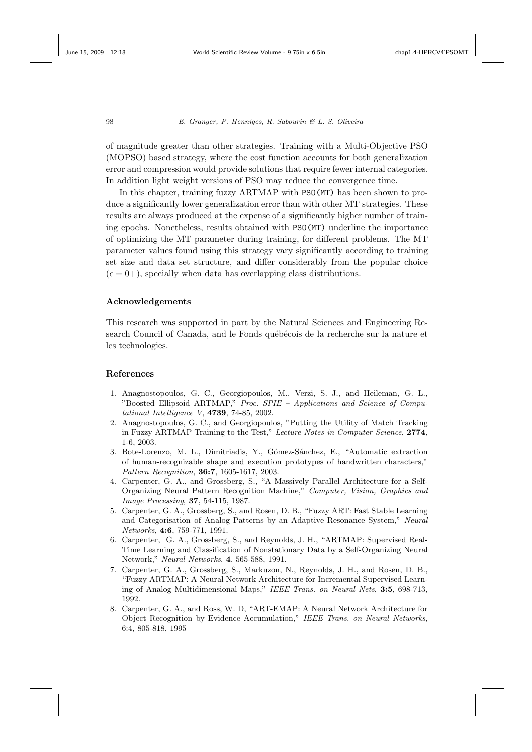of magnitude greater than other strategies. Training with a Multi-Objective PSO (MOPSO) based strategy, where the cost function accounts for both generalization error and compression would provide solutions that require fewer internal categories. In addition light weight versions of PSO may reduce the convergence time.

In this chapter, training fuzzy ARTMAP with PSO(MT) has been shown to produce a significantly lower generalization error than with other MT strategies. These results are always produced at the expense of a significantly higher number of training epochs. Nonetheless, results obtained with PSO(MT) underline the importance of optimizing the MT parameter during training, for different problems. The MT parameter values found using this strategy vary significantly according to training set size and data set structure, and differ considerably from the popular choice  $(\epsilon = 0+)$ , specially when data has overlapping class distributions.

#### **Acknowledgements**

This research was supported in part by the Natural Sciences and Engineering Research Council of Canada, and le Fonds québécois de la recherche sur la nature et les technologies.

#### **References**

- 1. Anagnostopoulos, G. C., Georgiopoulos, M., Verzi, S. J., and Heileman, G. L., "Boosted Ellipsoid ARTMAP," *Proc. SPIE – Applications and Science of Computational Intelligence V*, **4739**, 74-85, 2002.
- 2. Anagnostopoulos, G. C., and Georgiopoulos, "Putting the Utility of Match Tracking in Fuzzy ARTMAP Training to the Test," *Lecture Notes in Computer Science*, **2774**, 1-6, 2003.
- 3. Bote-Lorenzo, M. L., Dimitriadis, Y., Gómez-Sánchez, E., "Automatic extraction of human-recognizable shape and execution prototypes of handwritten characters," *Pattern Recognition*, **36:7**, 1605-1617, 2003.
- 4. Carpenter, G. A., and Grossberg, S., "A Massively Parallel Architecture for a Self-Organizing Neural Pattern Recognition Machine," *Computer, Vision, Graphics and Image Processing*, **37**, 54-115, 1987.
- 5. Carpenter, G. A., Grossberg, S., and Rosen, D. B., "Fuzzy ART: Fast Stable Learning and Categorisation of Analog Patterns by an Adaptive Resonance System," *Neural Networks*, **4:6**, 759-771, 1991.
- 6. Carpenter, G. A., Grossberg, S., and Reynolds, J. H., "ARTMAP: Supervised Real-Time Learning and Classification of Nonstationary Data by a Self-Organizing Neural Network," *Neural Networks*, **4**, 565-588, 1991.
- 7. Carpenter, G. A., Grossberg, S., Markuzon, N., Reynolds, J. H., and Rosen, D. B., "Fuzzy ARTMAP: A Neural Network Architecture for Incremental Supervised Learning of Analog Multidimensional Maps," *IEEE Trans. on Neural Nets*, **3:5**, 698-713, 1992.
- 8. Carpenter, G. A., and Ross, W. D, "ART-EMAP: A Neural Network Architecture for Object Recognition by Evidence Accumulation," *IEEE Trans. on Neural Networks*, 6:4, 805-818, 1995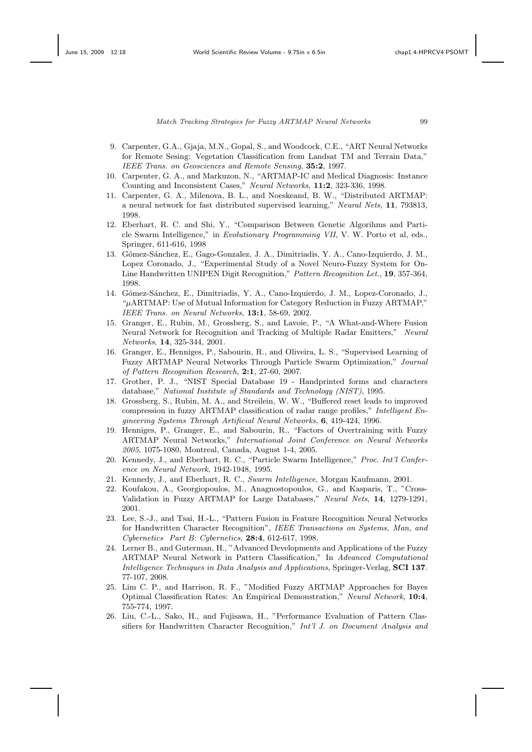- 9. Carpenter, G.A., Gjaja, M.N., Gopal, S., and Woodcock, C.E., "ART Neural Networks for Remote Sesing: Vegetation Classification from Landsat TM and Terrain Data," *IEEE Trans. on Geosciences and Remote Sensing*, **35:2**, 1997.
- 10. Carpenter, G. A., and Markuzon, N., "ARTMAP-IC and Medical Diagnosis: Instance Counting and Inconsistent Cases," *Neural Networks*, **11:2**, 323-336, 1998.
- 11. Carpenter, G. A., Milenova, B. L., and Noeskeand, B. W., "Distributed ARTMAP: a neural network for fast distributed supervised learning," *Neural Nets*, **11**, 793813, 1998.
- 12. Eberhart, R. C. and Shi, Y., "Comparison Between Genetic Algorihms and Particle Swarm Intelligence," in *Evolutionary Programming VII*, V. W. Porto et al, eds., Springer, 611-616, 1998
- 13. Gómez-Sánchez, E., Gago-Gonzalez, J. A., Dimitriadis, Y. A., Cano-Izquierdo, J. M., Lopez Coronado, J., "Experimental Study of a Novel Neuro-Fuzzy System for On-Line Handwritten UNIPEN Digit Recognition," *Pattern Recognition Let.*, **19**, 357-364, 1998.
- 14. Gómez-Sánchez, E., Dimitriadis, Y. A., Cano-Izquierdo, J. M., Lopez-Coronado, J., "*µ*ARTMAP: Use of Mutual Information for Category Reduction in Fuzzy ARTMAP," *IEEE Trans. on Neural Networks*, **13:1**, 58-69, 2002.
- 15. Granger, E., Rubin, M., Grossberg, S., and Lavoie, P., "A What-and-Where Fusion Neural Network for Recognition and Tracking of Multiple Radar Emitters," *Neural Networks*, **14**, 325-344, 2001.
- 16. Granger, E., Henniges, P., Sabourin, R., and Oliveira, L. S., "Supervised Learning of Fuzzy ARTMAP Neural Networks Through Particle Swarm Optimization," *Journal of Pattern Recognition Research*, **2:1**, 27-60, 2007.
- 17. Grother, P. J., "NIST Special Database 19 Handprinted forms and characters database," *National Institute of Standards and Technology (NIST)*, 1995.
- 18. Grossberg, S., Rubin, M. A., and Streilein, W. W., "Buffered reset leads to improved compression in fuzzy ARTMAP classification of radar range profiles," *Intelligent Engineering Systems Through Artificial Neural Networks*, **6**, 419-424, 1996.
- 19. Henniges, P., Granger, E., and Sabourin, R., "Factors of Overtraining with Fuzzy ARTMAP Neural Networks," *International Joint Conference on Neural Networks 2005*, 1075-1080, Montreal, Canada, August 1-4, 2005.
- 20. Kennedy, J., and Eberhart, R. C., "Particle Swarm Intelligence," *Proc. Int'l Conference on Neural Network*, 1942-1948, 1995.
- 21. Kennedy, J., and Eberhart, R. C., *Swarm Intelligence*, Morgan Kaufmann, 2001.
- 22. Koufakou, A., Georgiopoulos, M., Anagnostopoulos, G., and Kasparis, T., "Cross-Validation in Fuzzy ARTMAP for Large Databases," *Neural Nets*, **14**, 1279-1291, 2001.
- 23. Lee, S.-J., and Tsai, H.-L., "Pattern Fusion in Feature Recognition Neural Networks for Handwritten Character Recognition", *IEEE Transactions on Systems, Man, and Cybernetics Part B: Cybernetics*, **28:4**, 612-617, 1998.
- 24. Lerner B., and Guterman, H., "Advanced Developments and Applications of the Fuzzy ARTMAP Neural Network in Pattern Classification," In *Advanced Computational Intelligence Techniques in Data Analysis and Applications*, Springer-Verlag, **SCI 137**. 77-107, 2008.
- 25. Lim C. P., and Harrison, R. F., "Modified Fuzzy ARTMAP Approaches for Bayes Optimal Classification Rates: An Empirical Demonstration," *Neural Network*, **10:4**, 755-774, 1997.
- 26. Liu, C.-L., Sako, H., and Fujisawa, H., "Performance Evaluation of Pattern Classifiers for Handwritten Character Recognition," *Int'l J. on Document Analysis and*